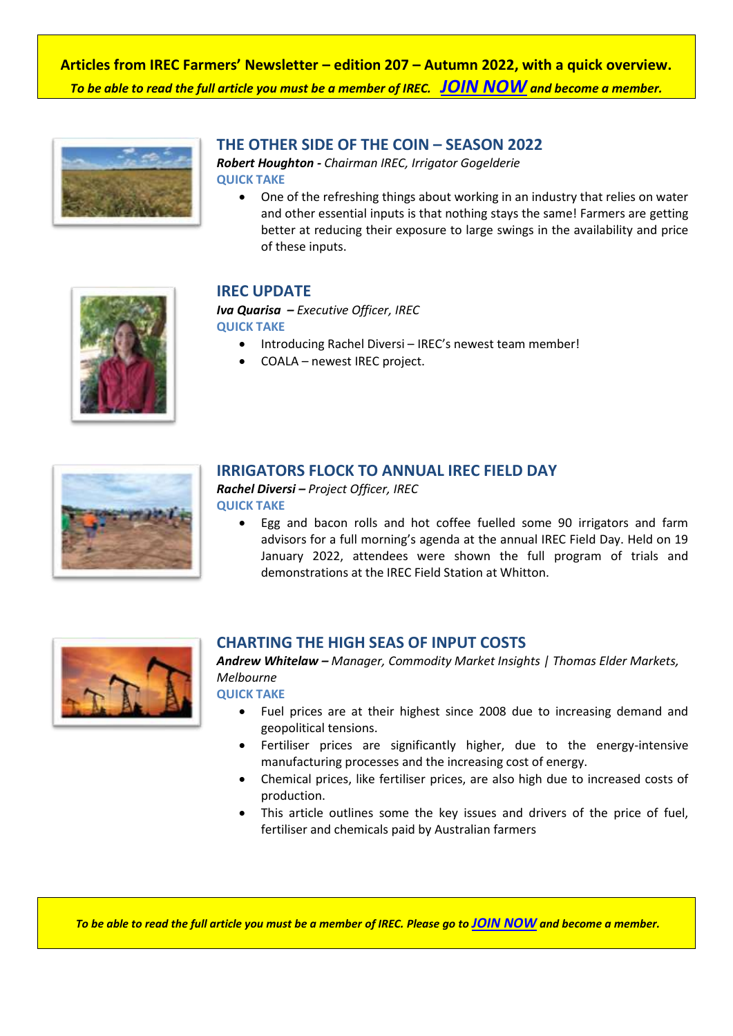**Articles from IREC Farmers' Newsletter – edition 207 – Autumn 2022, with a quick overview.** *To be able to read the full article you must be a member of IREC. [JOIN NOW](https://irec.org.au/membership/join-now/) and become a member.*



#### **THE OTHER SIDE OF THE COIN – SEASON 2022**

*Robert Houghton - Chairman IREC, Irrigator Gogelderie* **QUICK TAKE**

 One of the refreshing things about working in an industry that relies on water and other essential inputs is that nothing stays the same! Farmers are getting better at reducing their exposure to large swings in the availability and price of these inputs.



### **IREC UPDATE**

*Iva Quarisa – Executive Officer, IREC* **QUICK TAKE**

- Introducing Rachel Diversi IREC's newest team member!
- COALA newest IREC project.



### **IRRIGATORS FLOCK TO ANNUAL IREC FIELD DAY**

*Rachel Diversi – Project Officer, IREC* **QUICK TAKE**

> Egg and bacon rolls and hot coffee fuelled some 90 irrigators and farm advisors for a full morning's agenda at the annual IREC Field Day. Held on 19 January 2022, attendees were shown the full program of trials and demonstrations at the IREC Field Station at Whitton.



### **CHARTING THE HIGH SEAS OF INPUT COSTS**

*Andrew Whitelaw – Manager, Commodity Market Insights | Thomas Elder Markets, Melbourne*

**QUICK TAKE**

- Fuel prices are at their highest since 2008 due to increasing demand and geopolitical tensions.
- Fertiliser prices are significantly higher, due to the energy-intensive manufacturing processes and the increasing cost of energy.
- Chemical prices, like fertiliser prices, are also high due to increased costs of production.
- This article outlines some the key issues and drivers of the price of fuel, fertiliser and chemicals paid by Australian farmers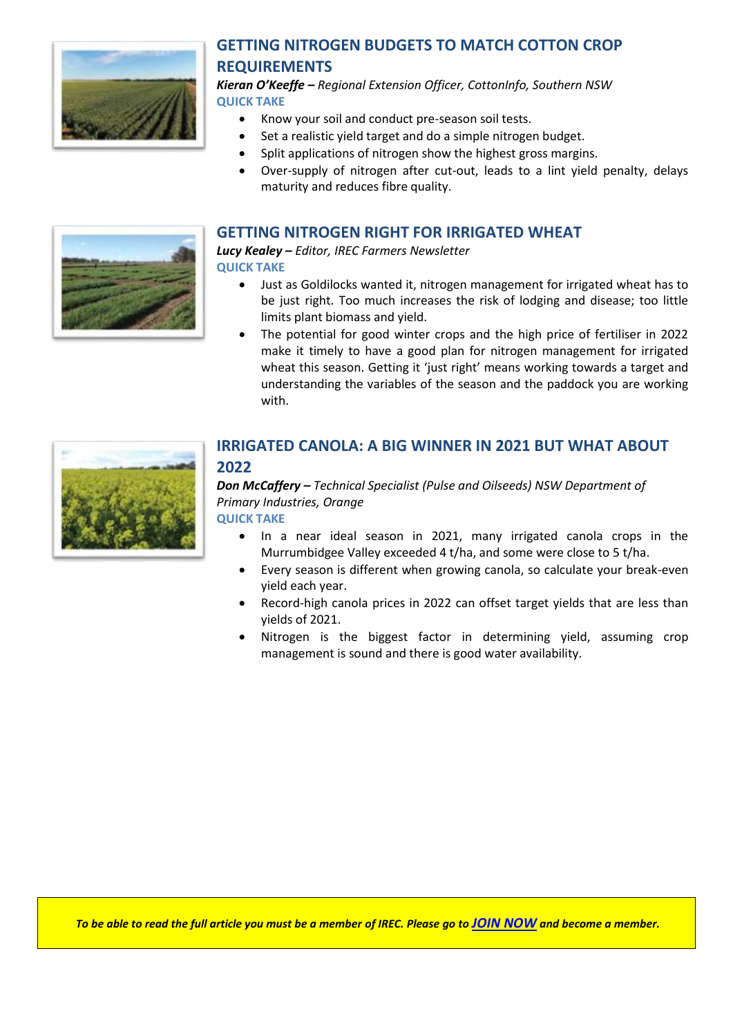

# **GETTING NITROGEN BUDGETS TO MATCH COTTON CROP REQUIREMENTS**

*Kieran O'Keeffe – Regional Extension Officer, CottonInfo, Southern NSW* **QUICK TAKE**

- Know your soil and conduct pre-season soil tests.
- Set a realistic yield target and do a simple nitrogen budget.
- Split applications of nitrogen show the highest gross margins.
- Over-supply of nitrogen after cut-out, leads to a lint yield penalty, delays maturity and reduces fibre quality.

#### **GETTING NITROGEN RIGHT FOR IRRIGATED WHEAT**

*Lucy Kealey – Editor, IREC Farmers Newsletter* **QUICK TAKE**

- Just as Goldilocks wanted it, nitrogen management for irrigated wheat has to be just right. Too much increases the risk of lodging and disease; too little limits plant biomass and yield.
- The potential for good winter crops and the high price of fertiliser in 2022 make it timely to have a good plan for nitrogen management for irrigated wheat this season. Getting it 'just right' means working towards a target and understanding the variables of the season and the paddock you are working with.



#### **IRRIGATED CANOLA: A BIG WINNER IN 2021 BUT WHAT ABOUT 2022**

#### *Don McCaffery – Technical Specialist (Pulse and Oilseeds) NSW Department of Primary Industries, Orange* **QUICK TAKE**

- In a near ideal season in 2021, many irrigated canola crops in the Murrumbidgee Valley exceeded 4 t/ha, and some were close to 5 t/ha.
- Every season is different when growing canola, so calculate your break-even yield each year.
- Record-high canola prices in 2022 can offset target yields that are less than yields of 2021.
- Nitrogen is the biggest factor in determining yield, assuming crop management is sound and there is good water availability.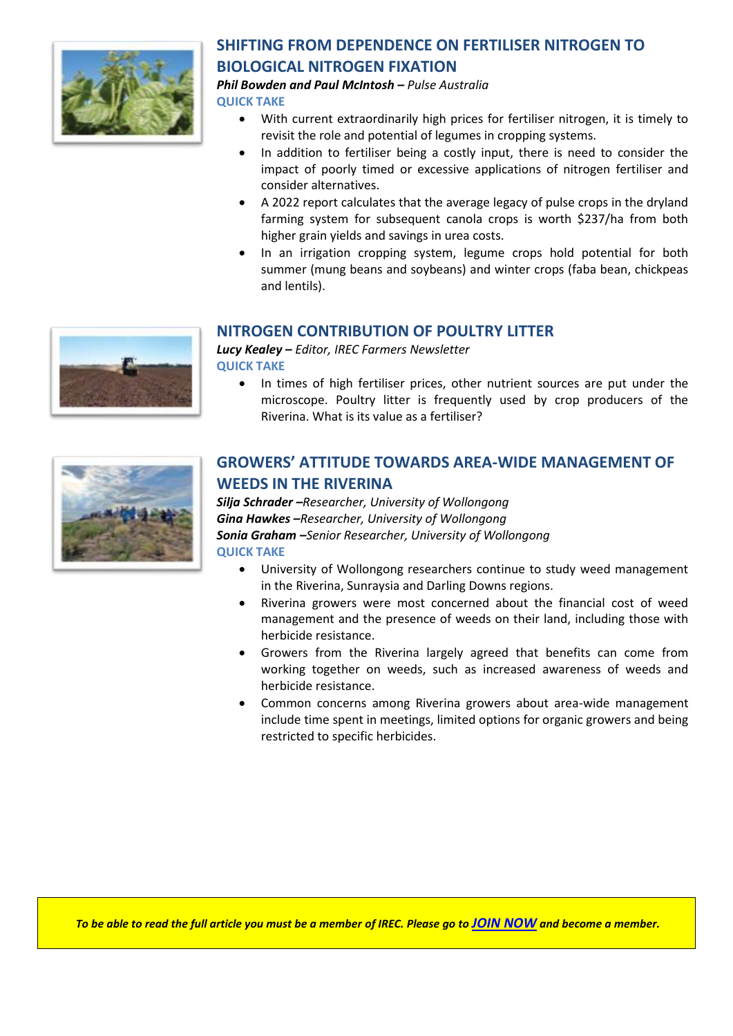

## **SHIFTING FROM DEPENDENCE ON FERTILISER NITROGEN TO BIOLOGICAL NITROGEN FIXATION**

*Phil Bowden and Paul McIntosh – Pulse Australia*

**QUICK TAKE**

- With current extraordinarily high prices for fertiliser nitrogen, it is timely to revisit the role and potential of legumes in cropping systems.
- In addition to fertiliser being a costly input, there is need to consider the impact of poorly timed or excessive applications of nitrogen fertiliser and consider alternatives.
- A 2022 report calculates that the average legacy of pulse crops in the dryland farming system for subsequent canola crops is worth \$237/ha from both higher grain yields and savings in urea costs.
- In an irrigation cropping system, legume crops hold potential for both summer (mung beans and soybeans) and winter crops (faba bean, chickpeas and lentils).

## **NITROGEN CONTRIBUTION OF POULTRY LITTER**

*Lucy Kealey – Editor, IREC Farmers Newsletter* **QUICK TAKE**

• In times of high fertiliser prices, other nutrient sources are put under the microscope. Poultry litter is frequently used by crop producers of the Riverina. What is its value as a fertiliser?



## **GROWERS' ATTITUDE TOWARDS AREA-WIDE MANAGEMENT OF WEEDS IN THE RIVERINA**

*Silja Schrader –Researcher, University of Wollongong Gina Hawkes –Researcher, University of Wollongong Sonia Graham –Senior Researcher, University of Wollongong* **QUICK TAKE**

- University of Wollongong researchers continue to study weed management in the Riverina, Sunraysia and Darling Downs regions.
- Riverina growers were most concerned about the financial cost of weed management and the presence of weeds on their land, including those with herbicide resistance.
- Growers from the Riverina largely agreed that benefits can come from working together on weeds, such as increased awareness of weeds and herbicide resistance.
- Common concerns among Riverina growers about area-wide management include time spent in meetings, limited options for organic growers and being restricted to specific herbicides.